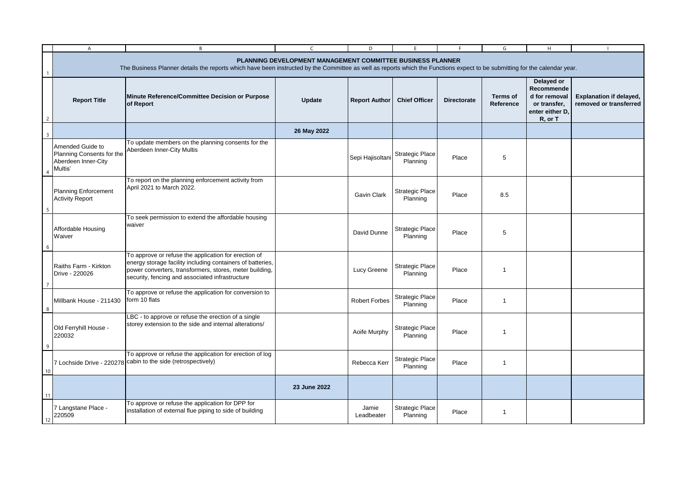|                | A                                                                                                                                                                                                                                        | B                                                                                                                                                                                                                                | C            | D.                   | F.                                 | F                  | G                            | H                                                                                       | $\mathbf{I}$                                             |
|----------------|------------------------------------------------------------------------------------------------------------------------------------------------------------------------------------------------------------------------------------------|----------------------------------------------------------------------------------------------------------------------------------------------------------------------------------------------------------------------------------|--------------|----------------------|------------------------------------|--------------------|------------------------------|-----------------------------------------------------------------------------------------|----------------------------------------------------------|
|                | PLANNING DEVELOPMENT MANAGEMENT COMMITTEE BUSINESS PLANNER<br>The Business Planner details the reports which have been instructed by the Committee as well as reports which the Functions expect to be submitting for the calendar year. |                                                                                                                                                                                                                                  |              |                      |                                    |                    |                              |                                                                                         |                                                          |
| $\overline{2}$ | <b>Report Title</b>                                                                                                                                                                                                                      | Minute Reference/Committee Decision or Purpose<br>of Report                                                                                                                                                                      | Update       | <b>Report Author</b> | <b>Chief Officer</b>               | <b>Directorate</b> | <b>Terms of</b><br>Reference | Delayed or<br>Recommende<br>d for removal<br>or transfer,<br>enter either D.<br>R, or T | <b>Explanation if delayed,</b><br>removed or transferred |
| $\overline{3}$ |                                                                                                                                                                                                                                          |                                                                                                                                                                                                                                  | 26 May 2022  |                      |                                    |                    |                              |                                                                                         |                                                          |
|                | Amended Guide to<br>Planning Consents for the<br>Aberdeen Inner-City<br>Multis'                                                                                                                                                          | To update members on the planning consents for the<br>Aberdeen Inner-City Multis                                                                                                                                                 |              | Sepi Hajisoltani     | <b>Strategic Place</b><br>Planning | Place              | 5                            |                                                                                         |                                                          |
|                | <b>Planning Enforcement</b><br><b>Activity Report</b>                                                                                                                                                                                    | To report on the planning enforcement activity from<br>April 2021 to March 2022.                                                                                                                                                 |              | Gavin Clark          | <b>Strategic Place</b><br>Planning | Place              | 8.5                          |                                                                                         |                                                          |
| 6              | Affordable Housing<br>Waiver                                                                                                                                                                                                             | To seek permission to extend the affordable housing<br>waiver                                                                                                                                                                    |              | David Dunne          | <b>Strategic Place</b><br>Planning | Place              | 5                            |                                                                                         |                                                          |
| -7             | Raiths Farm - Kirkton<br>Drive - 220026                                                                                                                                                                                                  | To approve or refuse the application for erection of<br>energy storage facility including containers of batteries,<br>power converters, transformers, stores, meter building,<br>security, fencing and associated infrastructure |              | Lucy Greene          | <b>Strategic Place</b><br>Planning | Place              | $\mathbf{1}$                 |                                                                                         |                                                          |
| 8              | Millbank House - 211430                                                                                                                                                                                                                  | To approve or refuse the application for conversion to<br>form 10 flats                                                                                                                                                          |              | <b>Robert Forbes</b> | <b>Strategic Place</b><br>Planning | Place              | $\overline{1}$               |                                                                                         |                                                          |
| 9              | Old Ferryhill House -<br>220032                                                                                                                                                                                                          | LBC - to approve or refuse the erection of a single<br>storey extension to the side and internal alterations/                                                                                                                    |              | Aoife Murphy         | <b>Strategic Place</b><br>Planning | Place              | $\overline{1}$               |                                                                                         |                                                          |
| 10             |                                                                                                                                                                                                                                          | To approve or refuse the application for erection of log<br>7 Lochside Drive - 220278 Cabin to the side (retrospectively)                                                                                                        |              | Rebecca Kerr         | <b>Strategic Place</b><br>Planning | Place              | $\mathbf{1}$                 |                                                                                         |                                                          |
| 11             |                                                                                                                                                                                                                                          |                                                                                                                                                                                                                                  | 23 June 2022 |                      |                                    |                    |                              |                                                                                         |                                                          |
| 12             | 7 Langstane Place -<br>220509                                                                                                                                                                                                            | To approve or refuse the application for DPP for<br>installation of external flue piping to side of building                                                                                                                     |              | Jamie<br>Leadbeater  | <b>Strategic Place</b><br>Planning | Place              | $\mathbf{1}$                 |                                                                                         |                                                          |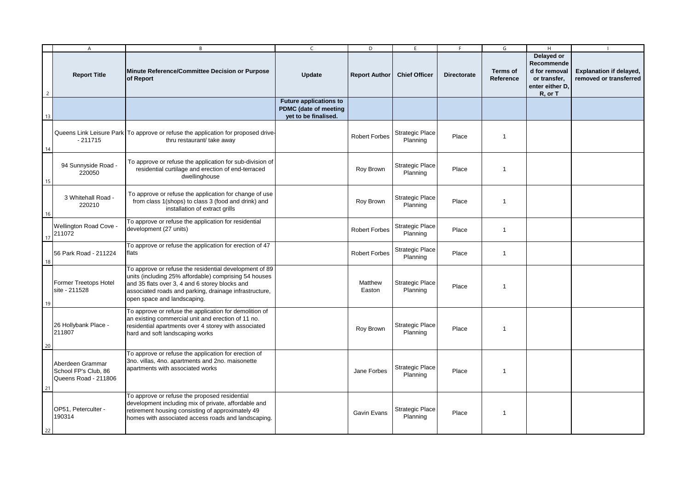|                | $\overline{A}$                                                   | $\overline{B}$                                                                                                                                                                                                                                             | $\mathsf{C}$                                                                          | D                    | E                                  | F                  | G                            | H                                                                                       | $\blacksquare$                                           |
|----------------|------------------------------------------------------------------|------------------------------------------------------------------------------------------------------------------------------------------------------------------------------------------------------------------------------------------------------------|---------------------------------------------------------------------------------------|----------------------|------------------------------------|--------------------|------------------------------|-----------------------------------------------------------------------------------------|----------------------------------------------------------|
| $\overline{2}$ | <b>Report Title</b>                                              | Minute Reference/Committee Decision or Purpose<br>of Report                                                                                                                                                                                                | Update                                                                                | <b>Report Author</b> | <b>Chief Officer</b>               | <b>Directorate</b> | <b>Terms of</b><br>Reference | Delayed or<br>Recommende<br>d for removal<br>or transfer,<br>enter either D,<br>R, or T | <b>Explanation if delayed,</b><br>removed or transferred |
| 13             |                                                                  |                                                                                                                                                                                                                                                            | <b>Future applications to</b><br><b>PDMC</b> (date of meeting<br>yet to be finalised. |                      |                                    |                    |                              |                                                                                         |                                                          |
| 14             | $-211715$                                                        | Queens Link Leisure Park   To approve or refuse the application for proposed drive-<br>thru restaurant/ take away                                                                                                                                          |                                                                                       | <b>Robert Forbes</b> | <b>Strategic Place</b><br>Planning | Place              | $\mathbf{1}$                 |                                                                                         |                                                          |
| 15             | 94 Sunnyside Road -<br>220050                                    | To approve or refuse the application for sub-division of<br>residential curtilage and erection of end-terraced<br>dwellinghouse                                                                                                                            |                                                                                       | Roy Brown            | <b>Strategic Place</b><br>Planning | Place              | $\mathbf{1}$                 |                                                                                         |                                                          |
| 16             | 3 Whitehall Road -<br>220210                                     | To approve or refuse the application for change of use<br>from class 1(shops) to class 3 (food and drink) and<br>installation of extract grills                                                                                                            |                                                                                       | Roy Brown            | <b>Strategic Place</b><br>Planning | Place              | $\mathbf{1}$                 |                                                                                         |                                                          |
| 17             | <b>Wellington Road Cove -</b><br>211072                          | To approve or refuse the application for residential<br>development (27 units)                                                                                                                                                                             |                                                                                       | <b>Robert Forbes</b> | <b>Strategic Place</b><br>Planning | Place              | $\mathbf{1}$                 |                                                                                         |                                                          |
| 18             | 56 Park Road - 211224                                            | To approve or refuse the application for erection of 47<br>flats                                                                                                                                                                                           |                                                                                       | <b>Robert Forbes</b> | <b>Strategic Place</b><br>Planning | Place              | $\mathbf{1}$                 |                                                                                         |                                                          |
| 19             | Former Treetops Hotel<br>site - 211528                           | To approve or refuse the residential development of 89<br>units (including 25% affordable) comprising 54 houses<br>and 35 flats over 3, 4 and 6 storey blocks and<br>associated roads and parking, drainage infrastructure,<br>open space and landscaping. |                                                                                       | Matthew<br>Easton    | <b>Strategic Place</b><br>Planning | Place              | $\overline{1}$               |                                                                                         |                                                          |
| 20             | 26 Hollybank Place -<br>211807                                   | To approve or refuse the application for demolition of<br>an existing commercial unit and erection of 11 no.<br>residential apartments over 4 storey with associated<br>hard and soft landscaping works                                                    |                                                                                       | Roy Brown            | <b>Strategic Place</b><br>Planning | Place              | $\overline{1}$               |                                                                                         |                                                          |
| 21             | Aberdeen Grammar<br>School FP's Club, 86<br>Queens Road - 211806 | To approve or refuse the application for erection of<br>3no. villas, 4no. apartments and 2no. maisonette<br>apartments with associated works                                                                                                               |                                                                                       | Jane Forbes          | <b>Strategic Place</b><br>Planning | Place              | $\mathbf{1}$                 |                                                                                         |                                                          |
| 22             | OP51, Peterculter -<br>190314                                    | To approve or refuse the proposed residential<br>development including mix of private, affordable and<br>retirement housing consisting of approximately 49<br>homes with associated access roads and landscaping.                                          |                                                                                       | Gavin Evans          | <b>Strategic Place</b><br>Planning | Place              | $\mathbf{1}$                 |                                                                                         |                                                          |